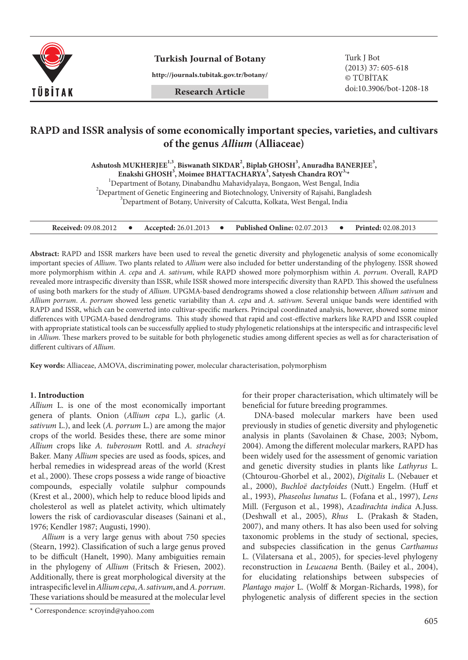

**Turkish Journal of Botany** Turk J Bot

**http://journals.tubitak.gov.tr/botany/**

**Research Article**

(2013) 37: 605-618 © TÜBİTAK doi:10.3906/bot-1208-18

# **RAPD and ISSR analysis of some economically important species, varieties, and cultivars of the genus** *Allium* **(Alliaceae)**

**Ashutosh MUKHERJEE1,3, Biswanath SIKDAR2 , Biplab GHOSH3 , Anuradha BANERJEE3 ,**

**Enakshi GHOSH<sup>3</sup>, Moimee BHATTACHARYA<sup>3</sup>, Satyesh Chandra ROY<sup>3</sup><sup>,</sup>** 

Department of Botany, Dinabandhu Mahavidyalaya, Bongaon, West Bengal, India <sup>2</sup>

<sup>2</sup>Department of Genetic Engineering and Biotechnology, University of Rajsahi, Bangladesh <sup>3</sup>Department of Botany, University of Calcutta, Kolkata, West Bengal, India

| <b>Received: 09.08.2012</b> |  | <b>Accepted:</b> 26.01.2013 |  | <b>Published Online: 02.07.2013</b> |  | <b>Printed:</b> 02.08.2013 |
|-----------------------------|--|-----------------------------|--|-------------------------------------|--|----------------------------|
|-----------------------------|--|-----------------------------|--|-------------------------------------|--|----------------------------|

**Abstract:** RAPD and ISSR markers have been used to reveal the genetic diversity and phylogenetic analysis of some economically important species of *Allium*. Two plants related to *Allium* were also included for better understanding of the phylogeny. ISSR showed more polymorphism within *A. cepa* and *A. sativum*, while RAPD showed more polymorphism within *A. porrum*. Overall, RAPD revealed more intraspecific diversity than ISSR, while ISSR showed more interspecific diversity than RAPD. This showed the usefulness of using both markers for the study of *Allium*. UPGMA-based dendrograms showed a close relationship between *Allium sativum* and *Allium porrum*. *A. porrum* showed less genetic variability than *A. cepa* and *A. sativum*. Several unique bands were identified with RAPD and ISSR, which can be converted into cultivar-specific markers. Principal coordinated analysis, however, showed some minor differences with UPGMA-based dendrograms. This study showed that rapid and cost-effective markers like RAPD and ISSR coupled with appropriate statistical tools can be successfully applied to study phylogenetic relationships at the interspecific and intraspecific level in *Allium*. These markers proved to be suitable for both phylogenetic studies among different species as well as for characterisation of different cultivars of *Allium*.

**Key words:** Alliaceae, AMOVA, discriminating power, molecular characterisation, polymorphism

#### **1. Introduction**

*Allium* L. is one of the most economically important genera of plants. Onion (*Allium cepa* L.), garlic (*A. sativum* L.), and leek (*A. porrum* L.) are among the major crops of the world. Besides these, there are some minor *Allium* crops like *A. tuberosum* Rottl. and *A. stracheyi* Baker. Many *Allium* species are used as foods, spices, and herbal remedies in widespread areas of the world (Krest et al*.*, 2000). These crops possess a wide range of bioactive compounds, especially volatile sulphur compounds (Krest et al*.*, 2000), which help to reduce blood lipids and cholesterol as well as platelet activity, which ultimately lowers the risk of cardiovascular diseases (Sainani et al*.*, 1976; Kendler 1987; Augusti, 1990).

*Allium* is a very large genus with about 750 species (Stearn, 1992). Classification of such a large genus proved to be difficult (Hanelt, 1990). Many ambiguities remain in the phylogeny of *Allium* (Fritsch & Friesen, 2002). Additionally, there is great morphological diversity at the intraspecific level in *Allium cepa*, *A. sativum*, and *A. porrum*. These variations should be measured at the molecular level

\* Correspondence: scroyind@yahoo.com

for their proper characterisation, which ultimately will be beneficial for future breeding programmes.

DNA-based molecular markers have been used previously in studies of genetic diversity and phylogenetic analysis in plants (Savolainen & Chase, 2003; Nybom, 2004). Among the different molecular markers, RAPD has been widely used for the assessment of genomic variation and genetic diversity studies in plants like *Lathyrus* L. (Chtourou-Ghorbel et al*.*, 2002), *Digitalis* L. (Nebauer et al*.*, 2000), *Buchloë dactyloides* (Nutt.) Engelm. (Huff et al*.*, 1993), *Phaseolus lunatus* L. (Fofana et al*.*, 1997), *Lens* Mill. (Ferguson et al*.*, 1998), *Azadirachta indica* A.Juss. (Deshwall et al*.*, 2005), *Rhus* L. (Prakash & Staden, 2007), and many others. It has also been used for solving taxonomic problems in the study of sectional, species, and subspecies classification in the genus *Carthamus* L. (Vilatersana et al*.*, 2005), for species-level phylogeny reconstruction in *Leucaena* Benth. (Bailey et al*.*, 2004), for elucidating relationships between subspecies of *Plantago major* L. (Wolff & Morgan-Richards, 1998), for phylogenetic analysis of different species in the section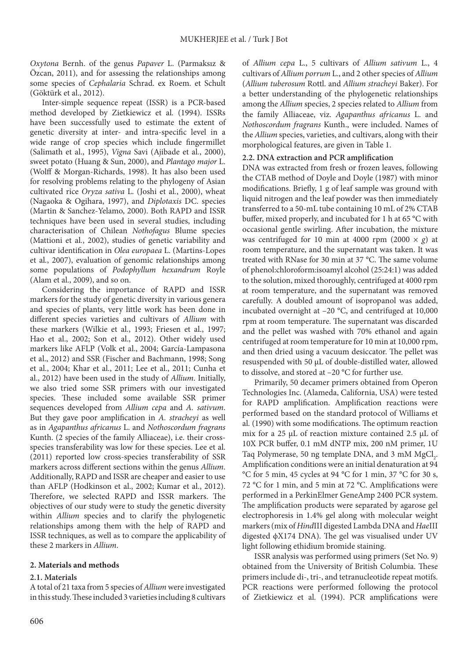*Oxytona* Bernh. of the genus *Papaver* L. (Parmaksız & Özcan, 2011), and for assessing the relationships among some species of *Cephalaria* Schrad. ex Roem. et Schult (Göktürk et al., 2012).

Inter-simple sequence repeat (ISSR) is a PCR-based method developed by Zietkiewicz et al*.* (1994). ISSRs have been successfully used to estimate the extent of genetic diversity at inter- and intra-specific level in a wide range of crop species which include fingermillet (Salimath et al., 1995), *Vigna* Savi (Ajibade et al*.*, 2000), sweet potato (Huang & Sun, 2000), and *Plantago major* L. (Wolff & Morgan-Richards, 1998). It has also been used for resolving problems relating to the phylogeny of Asian cultivated rice *Oryza sativa* L. (Joshi et al*.*, 2000), wheat (Nagaoka & Ogihara, 1997), and *Diplotaxis* DC. species (Martin & Sanchez-Yelamo, 2000). Both RAPD and ISSR techniques have been used in several studies, including characterisation of Chilean *Nothofagus* Blume species (Mattioni et al*.*, 2002), studies of genetic variability and cultivar identification in *Olea europaea* L. (Martins-Lopes et al*.*, 2007), evaluation of genomic relationships among some populations of *Podophyllum hexandrum* Royle (Alam et al., 2009), and so on.

Considering the importance of RAPD and ISSR markers for the study of genetic diversity in various genera and species of plants, very little work has been done in different species varieties and cultivars of *Allium* with these markers (Wilkie et al*.*, 1993; Friesen et al., 1997; Hao et al., 2002; Son et al., 2012). Other widely used markers like AFLP (Volk et al., 2004; García-Lampasona et al., 2012) and SSR (Fischer and Bachmann, 1998; Song et al., 2004; Khar et al., 2011; Lee et al., 2011; Cunha et al., 2012) have been used in the study of *Allium*. Initially, we also tried some SSR primers with our investigated species. These included some available SSR primer sequences developed from *Allium cepa* and *A. sativum*. But they gave poor amplification in *A. stracheyi* as well as in *Agapanthus africanus* L. and *Nothoscordum fragrans* Kunth. (2 species of the family Alliaceae), i.e. their crossspecies transferability was low for these species. Lee et al. (2011) reported low cross-species transferability of SSR markers across different sections within the genus *Allium*. Additionally, RAPD and ISSR are cheaper and easier to use than AFLP (Hodkinson et al., 2002; Kumar et al., 2012). Therefore, we selected RAPD and ISSR markers. The objectives of our study were to study the genetic diversity within *Allium* species and to clarify the phylogenetic relationships among them with the help of RAPD and ISSR techniques, as well as to compare the applicability of these 2 markers in *Allium*.

# **2. Materials and methods**

#### **2.1. Materials**

A total of 21 taxa from 5 species of *Allium* were investigated in this study. These included 3 varieties including 8 cultivars of *Allium cepa* L., 5 cultivars of *Allium sativum* L., 4 cultivars of *Allium porrum* L., and 2 other species of *Allium*  (*Allium tuberosum* Rottl. and *Allium stracheyi* Baker). For a better understanding of the phylogenetic relationships among the *Allium* species, 2 species related to *Allium* from the family Alliaceae, viz. *Agapanthus africanus* L. and *Nothoscordum fragrans* Kunth., were included. Names of the *Allium* species, varieties, and cultivars, along with their morphological features, are given in Table 1.

## **2.2. DNA extraction and PCR amplification**

DNA was extracted from fresh or frozen leaves, following the CTAB method of Doyle and Doyle (1987) with minor modifications. Briefly, 1 g of leaf sample was ground with liquid nitrogen and the leaf powder was then immediately transferred to a 50-mL tube containing 10 mL of 2% CTAB buffer, mixed properly, and incubated for 1 h at 65 °C with occasional gentle swirling. After incubation, the mixture was centrifuged for 10 min at 4000 rpm (2000  $\times$  *g*) at room temperature, and the supernatant was taken. It was treated with RNase for 30 min at 37 °C. The same volume of phenol:chloroform:isoamyl alcohol (25:24:1) was added to the solution, mixed thoroughly, centrifuged at 4000 rpm at room temperature, and the supernatant was removed carefully. A doubled amount of isopropanol was added, incubated overnight at –20 °C, and centrifuged at 10,000 rpm at room temperature. The supernatant was discarded and the pellet was washed with 70% ethanol and again centrifuged at room temperature for 10 min at 10,000 rpm, and then dried using a vacuum desiccator. The pellet was resuspended with 50 µL of double-distilled water, allowed to dissolve, and stored at –20 °C for further use.

Primarily, 50 decamer primers obtained from Operon Technologies Inc. (Alameda, California, USA) were tested for RAPD amplification. Amplification reactions were performed based on the standard protocol of Williams et al*.* (1990) with some modifications. The optimum reaction mix for a 25 μL of reaction mixture contained 2.5 μL of 10X PCR buffer, 0.1 mM dNTP mix, 200 nM primer, 1U Taq Polymerase, 50 ng template DNA, and 3 mM  $MgCl_2$ . Amplification conditions were an initial denaturation at 94 °C for 5 min, 45 cycles at 94 °C for 1 min, 37 °C for 30 s, 72 °C for 1 min, and 5 min at 72 °C. Amplifications were performed in a PerkinElmer GeneAmp 2400 PCR system. The amplification products were separated by agarose gel electrophoresis in 1.4% gel along with molecular weight markers (mix of *Hind*III digested Lambda DNA and *Hae*III digested ϕX174 DNA). The gel was visualised under UV light following ethidium bromide staining.

ISSR analysis was performed using primers (Set No. 9) obtained from the University of British Columbia. These primers include di-, tri-, and tetranucleotide repeat motifs. PCR reactions were performed following the protocol of Zietkiewicz et al*.* (1994). PCR amplifications were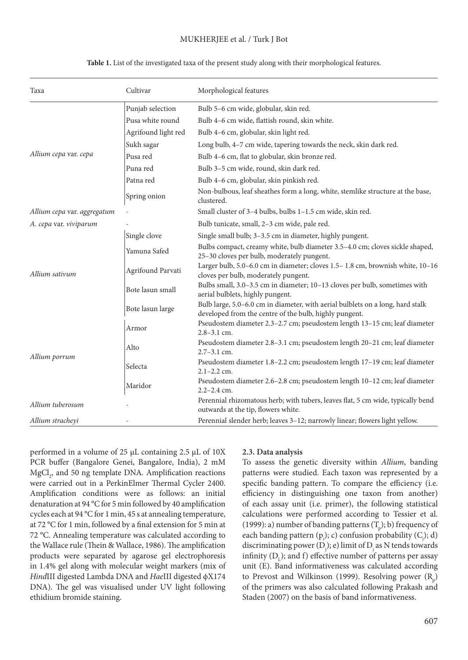## MUKHERJEE et al. / Turk J Bot

| Taxa                        | Cultivar            | Morphological features                                                                                                                   |
|-----------------------------|---------------------|------------------------------------------------------------------------------------------------------------------------------------------|
|                             | Punjab selection    | Bulb 5-6 cm wide, globular, skin red.                                                                                                    |
|                             | Pusa white round    | Bulb 4-6 cm wide, flattish round, skin white.                                                                                            |
|                             | Agrifound light red | Bulb 4-6 cm, globular, skin light red.                                                                                                   |
|                             | Sukh sagar          | Long bulb, 4-7 cm wide, tapering towards the neck, skin dark red.                                                                        |
| Allium cepa var. cepa       | Pusa red            | Bulb 4-6 cm, flat to globular, skin bronze red.                                                                                          |
|                             | Puna red            | Bulb 3-5 cm wide, round, skin dark red.                                                                                                  |
|                             | Patna red           | Bulb 4-6 cm, globular, skin pinkish red.                                                                                                 |
|                             | Spring onion        | Non-bulbous, leaf sheathes form a long, white, stemlike structure at the base,<br>clustered.                                             |
| Allium cepa var. aggregatum |                     | Small cluster of 3-4 bulbs, bulbs 1-1.5 cm wide, skin red.                                                                               |
| A. cepa var. viviparum      |                     | Bulb tunicate, small, 2-3 cm wide, pale red.                                                                                             |
|                             | Single clove        | Single small bulb; 3-3.5 cm in diameter, highly pungent.                                                                                 |
|                             | Yamuna Safed        | Bulbs compact, creamy white, bulb diameter 3.5-4.0 cm; cloves sickle shaped,<br>25-30 cloves per bulb, moderately pungent.               |
| Allium sativum              | Agrifound Parvati   | Larger bulb, 5.0-6.0 cm in diameter; cloves 1.5-1.8 cm, brownish white, 10-16<br>cloves per bulb, moderately pungent.                    |
|                             | Bote lasun small    | Bulbs small, 3.0-3.5 cm in diameter; 10-13 cloves per bulb, sometimes with<br>aerial bulblets, highly pungent.                           |
|                             | Bote lasun large    | Bulb large, 5.0-6.0 cm in diameter, with aerial bulblets on a long, hard stalk<br>developed from the centre of the bulb, highly pungent. |
|                             | Armor               | Pseudostem diameter 2.3-2.7 cm; pseudostem length 13-15 cm; leaf diameter<br>$2.8 - 3.1$ cm.                                             |
|                             | Alto                | Pseudostem diameter 2.8-3.1 cm; pseudostem length 20-21 cm; leaf diameter<br>$2.7 - 3.1$ cm.                                             |
| Allium porrum               | Selecta             | Pseudostem diameter 1.8-2.2 cm; pseudostem length 17-19 cm; leaf diameter<br>$2.1 - 2.2$ cm.                                             |
|                             | Maridor             | Pseudostem diameter 2.6-2.8 cm; pseudostem length 10-12 cm; leaf diameter<br>$2.2 - 2.4$ cm.                                             |
| Allium tuberosum            |                     | Perennial rhizomatous herb; with tubers, leaves flat, 5 cm wide, typically bend<br>outwards at the tip, flowers white.                   |
| Allium stracheyi            |                     | Perennial slender herb; leaves 3-12; narrowly linear; flowers light yellow.                                                              |

#### **Table 1.** List of the investigated taxa of the present study along with their morphological features.

performed in a volume of 25 µL containing 2.5 µL of 10X PCR buffer (Bangalore Genei, Bangalore, India), 2 mM  $MgCl<sub>2</sub>$ , and 50 ng template DNA. Amplification reactions were carried out in a PerkinElmer Thermal Cycler 2400. Amplification conditions were as follows: an initial denaturation at 94 °C for 5 min followed by 40 amplification cycles each at 94 °C for 1 min, 45 s at annealing temperature, at 72 °C for 1 min, followed by a final extension for 5 min at 72 °C. Annealing temperature was calculated according to the Wallace rule (Thein & Wallace, 1986). The amplification products were separated by agarose gel electrophoresis in 1.4% gel along with molecular weight markers (mix of *Hind*III digested Lambda DNA and *Hae*III digested ϕX174 DNA). The gel was visualised under UV light following ethidium bromide staining.

#### **2.3. Data analysis**

To assess the genetic diversity within *Allium*, banding patterns were studied. Each taxon was represented by a specific banding pattern. To compare the efficiency (i.e. efficiency in distinguishing one taxon from another) of each assay unit (i.e. primer), the following statistical calculations were performed according to Tessier et al*.*  (1999): a) number of banding patterns  $(T_p)$ ; b) frequency of each banding pattern (p<sub>i</sub>); c) confusion probability (C<sub>j</sub>); d) discriminating power  $(D_j)$ ; e) limit of  $D_j$  as N tends towards infinity ( $D<sub>L</sub>$ ); and f) effective number of patterns per assay unit (E). Band informativeness was calculated according to Prevost and Wilkinson (1999). Resolving power  $(\text{R}_{\text{p}}^{\text{}})$ of the primers was also calculated following Prakash and Staden (2007) on the basis of band informativeness.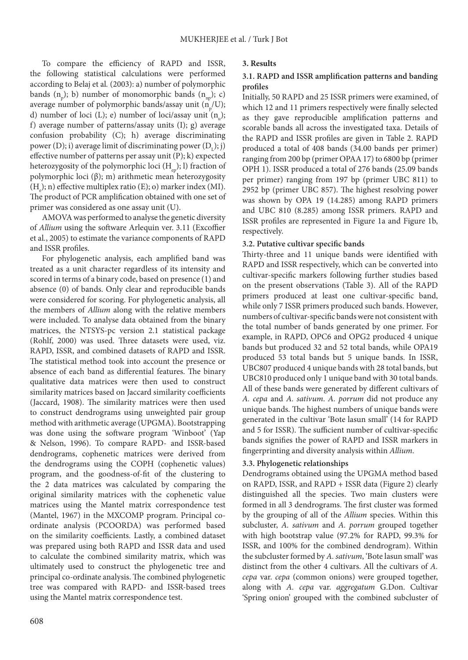To compare the efficiency of RAPD and ISSR, the following statistical calculations were performed according to Belaj et al*.* (2003): a) number of polymorphic bands  $(n_{p})$ ; b) number of monomorphic bands  $(n_{np})$ ; c) average number of polymorphic bands/assay unit ( $n_{p}^{\phantom{\dag}}/U);$ d) number of loci (L); e) number of loci/assay unit  $(n_u)$ ; f) average number of patterns/assay units (I); g) average confusion probability (C); h) average discriminating power (D); i) average limit of discriminating power  $(D_t)$ ; j) effective number of patterns per assay unit (P); k) expected heterozygosity of the polymorphic loci  $(H_{en})$ ; l) fraction of polymorphic loci (β); m) arithmetic mean heterozygosity  $(H_e)$ ; n) effective multiplex ratio (E); o) marker index (MI). The product of PCR amplification obtained with one set of primer was considered as one assay unit (U).

AMOVA was performed to analyse the genetic diversity of *Allium* using the software Arlequin ver. 3.11 (Excoffier et al*.*, 2005) to estimate the variance components of RAPD and ISSR profiles.

For phylogenetic analysis, each amplified band was treated as a unit character regardless of its intensity and scored in terms of a binary code, based on presence (1) and absence (0) of bands. Only clear and reproducible bands were considered for scoring. For phylogenetic analysis, all the members of *Allium* along with the relative members were included. To analyse data obtained from the binary matrices, the NTSYS-pc version 2.1 statistical package (Rohlf, 2000) was used. Three datasets were used, viz. RAPD, ISSR, and combined datasets of RAPD and ISSR. The statistical method took into account the presence or absence of each band as differential features. The binary qualitative data matrices were then used to construct similarity matrices based on Jaccard similarity coefficients (Jaccard, 1908). The similarity matrices were then used to construct dendrograms using unweighted pair group method with arithmetic average (UPGMA). Bootstrapping was done using the software program 'Winboot' (Yap & Nelson, 1996). To compare RAPD- and ISSR-based dendrograms, cophenetic matrices were derived from the dendrograms using the COPH (cophenetic values) program, and the goodness-of-fit of the clustering to the 2 data matrices was calculated by comparing the original similarity matrices with the cophenetic value matrices using the Mantel matrix correspondence test (Mantel, 1967) in the MXCOMP program. Principal coordinate analysis (PCOORDA) was performed based on the similarity coefficients. Lastly, a combined dataset was prepared using both RAPD and ISSR data and used to calculate the combined similarity matrix, which was ultimately used to construct the phylogenetic tree and principal co-ordinate analysis. The combined phylogenetic tree was compared with RAPD- and ISSR-based trees using the Mantel matrix correspondence test.

### **3. Results**

## **3.1. RAPD and ISSR amplification patterns and banding profiles**

Initially, 50 RAPD and 25 ISSR primers were examined, of which 12 and 11 primers respectively were finally selected as they gave reproducible amplification patterns and scorable bands all across the investigated taxa. Details of the RAPD and ISSR profiles are given in Table 2. RAPD produced a total of 408 bands (34.00 bands per primer) ranging from 200 bp (primer OPAA 17) to 6800 bp (primer OPH 1). ISSR produced a total of 276 bands (25.09 bands per primer) ranging from 197 bp (primer UBC 811) to 2952 bp (primer UBC 857). The highest resolving power was shown by OPA 19 (14.285) among RAPD primers and UBC 810 (8.285) among ISSR primers. RAPD and ISSR profiles are represented in Figure 1a and Figure 1b, respectively.

#### **3.2. Putative cultivar specific bands**

Thirty-three and 11 unique bands were identified with RAPD and ISSR respectively, which can be converted into cultivar-specific markers following further studies based on the present observations (Table 3). All of the RAPD primers produced at least one cultivar-specific band, while only 7 ISSR primers produced such bands. However, numbers of cultivar-specific bands were not consistent with the total number of bands generated by one primer. For example, in RAPD, OPC6 and OPG2 produced 4 unique bands but produced 32 and 52 total bands, while OPA19 produced 53 total bands but 5 unique bands. In ISSR, UBC807 produced 4 unique bands with 28 total bands, but UBC810 produced only 1 unique band with 30 total bands. All of these bands were generated by different cultivars of *A. cepa* and *A. sativum*. *A. porrum* did not produce any unique bands. The highest numbers of unique bands were generated in the cultivar 'Bote lasun small' (14 for RAPD and 5 for ISSR). The sufficient number of cultivar-specific bands signifies the power of RAPD and ISSR markers in fingerprinting and diversity analysis within *Allium*.

#### **3.3. Phylogenetic relationships**

Dendrograms obtained using the UPGMA method based on RAPD, ISSR, and RAPD + ISSR data (Figure 2) clearly distinguished all the species. Two main clusters were formed in all 3 dendrograms. The first cluster was formed by the grouping of all of the *Allium* species. Within this subcluster, *A. sativum* and *A. porrum* grouped together with high bootstrap value (97.2% for RAPD, 99.3% for ISSR, and 100% for the combined dendrogram). Within the subcluster formed by *A. sativum*, 'Bote lasun small' was distinct from the other 4 cultivars. All the cultivars of *A. cepa* var. *cepa* (common onions) were grouped together, along with *A. cepa* var. *aggregatum* G.Don. Cultivar 'Spring onion' grouped with the combined subcluster of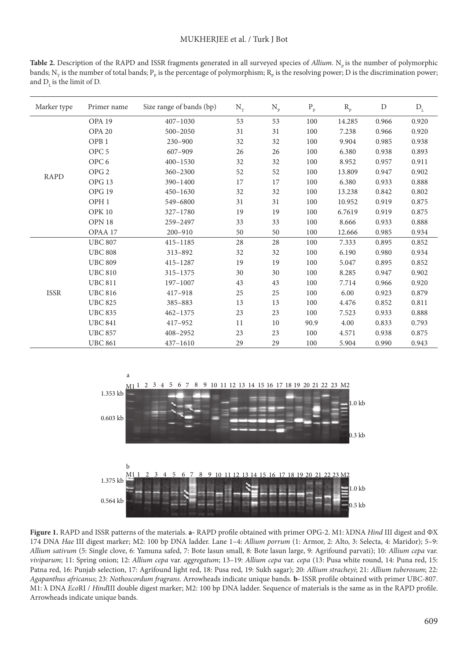Table 2. Description of the RAPD and ISSR fragments generated in all surveyed species of *Allium*. N<sub>n</sub> is the number of polymorphic bands;  $N_{_T}$  is the number of total bands;  $P_p$  is the percentage of polymorphism;  $R_p$  is the resolving power;  $D$  is the discrimination power; and  $D<sub>L</sub>$  is the limit of D.

| Marker type | Primer name       | Size range of bands (bp) | $N_T$ | $\rm N_p$ | $\mathbf{P}_{\rm p}$ | $R_{p}$ | $\mathbf D$ | $\mathbf{D}_{\rm\scriptscriptstyle L}$ |
|-------------|-------------------|--------------------------|-------|-----------|----------------------|---------|-------------|----------------------------------------|
|             | OPA <sub>19</sub> | $407 - 1030$             | 53    | 53        | 100                  | 14.285  | 0.966       | 0.920                                  |
|             | <b>OPA 20</b>     | $500 - 2050$             | 31    | 31        | 100                  | 7.238   | 0.966       | 0.920                                  |
|             | OPB <sub>1</sub>  | $230 - 900$              | 32    | 32        | 100                  | 9.904   | 0.985       | 0.938                                  |
|             | OPC <sub>5</sub>  | 607-909                  | 26    | 26        | 100                  | 6.380   | 0.938       | 0.893                                  |
|             | OPC <sub>6</sub>  | $400 - 1530$             | 32    | 32        | 100                  | 8.952   | 0.957       | 0.911                                  |
| RAPD        | OPG <sub>2</sub>  | 360-2300                 | 52    | 52        | 100                  | 13.809  | 0.947       | 0.902                                  |
|             | OPG <sub>13</sub> | 390-1400                 | 17    | 17        | 100                  | 6.380   | 0.933       | 0.888                                  |
|             | OPG 19            | $450 - 1630$             | 32    | 32        | 100                  | 13.238  | 0.842       | 0.802                                  |
|             | OPH <sub>1</sub>  | 549-6800                 | 31    | 31        | 100                  | 10.952  | 0.919       | 0.875                                  |
|             | <b>OPK 10</b>     | 327-1780                 | 19    | 19        | 100                  | 6.7619  | 0.919       | 0.875                                  |
|             | OPN <sub>18</sub> | 259-2497                 | 33    | 33        | 100                  | 8.666   | 0.933       | 0.888                                  |
|             | OPAA 17           | 200-910                  | 50    | 50        | 100                  | 12.666  | 0.985       | 0.934                                  |
|             | <b>UBC 807</b>    | 415-1185                 | 28    | 28        | 100                  | 7.333   | 0.895       | 0.852                                  |
| ISSR        | <b>UBC 808</b>    | 313-892                  | 32    | 32        | 100                  | 6.190   | 0.980       | 0.934                                  |
|             | <b>UBC 809</b>    | 415-1287                 | 19    | 19        | 100                  | 5.047   | 0.895       | 0.852                                  |
|             | <b>UBC 810</b>    | 315-1375                 | 30    | 30        | 100                  | 8.285   | 0.947       | 0.902                                  |
|             | <b>UBC 811</b>    | 197-1007                 | 43    | 43        | 100                  | 7.714   | 0.966       | 0.920                                  |
|             | <b>UBC 816</b>    | 417-918                  | 25    | 25        | 100                  | 6.00    | 0.923       | 0.879                                  |
|             | <b>UBC 825</b>    | 385-883                  | 13    | 13        | 100                  | 4.476   | 0.852       | 0.811                                  |
|             | <b>UBC 835</b>    | $462 - 1375$             | 23    | 23        | 100                  | 7.523   | 0.933       | 0.888                                  |
|             | <b>UBC 841</b>    | 417-952                  | 11    | 10        | 90.9                 | 4.00    | 0.833       | 0.793                                  |
|             | <b>UBC 857</b>    | 408-2952                 | 23    | 23        | 100                  | 4.571   | 0.938       | 0.875                                  |
|             | <b>UBC 861</b>    | 437-1610                 | 29    | 29        | 100                  | 5.904   | 0.990       | 0.943                                  |



**Figure 1.** RAPD and ISSR patterns of the materials. **a-** RAPD profile obtained with primer OPG-2. M1: λDNA *Hind* III digest and ΦX 174 DNA *Hae* III digest marker; M2: 100 bp DNA ladder. Lane 1–4: *Allium porrum* (1: Armor, 2: Alto, 3: Selecta, 4: Maridor); 5–9: *Allium sativum* (5: Single clove, 6: Yamuna safed, 7: Bote lasun small, 8: Bote lasun large, 9: Agrifound parvati); 10: *Allium cepa* var. *viviparum*; 11: Spring onion; 12: *Allium cepa* var. *aggregatum*; 13–19: *Allium cepa* var. *cepa* (13: Pusa white round, 14: Puna red, 15: Patna red, 16: Punjab selection, 17: Agrifound light red, 18: Pusa red, 19: Sukh sagar); 20: *Allium stracheyi*; 21: *Allium tuberosum*; 22: *Agapanthus africanus*; 23: *Nothoscordum fragrans*. Arrowheads indicate unique bands. **b-** ISSR profile obtained with primer UBC-807. M1: λ DNA *Eco*RI / *Hind*III double digest marker; M2: 100 bp DNA ladder. Sequence of materials is the same as in the RAPD profile. Arrowheads indicate unique bands.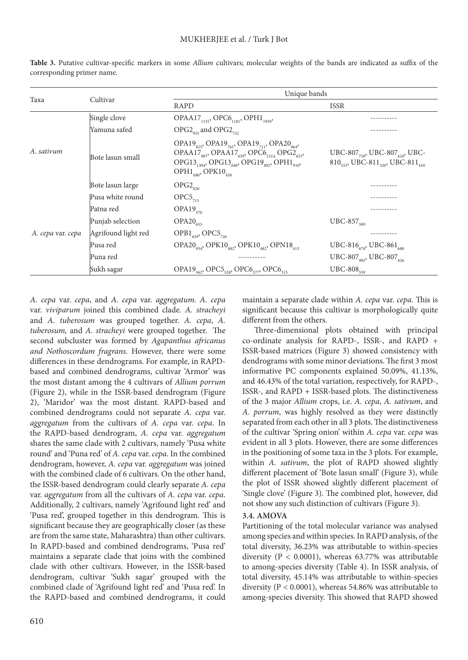|                   |                     | Unique bands                                                                                                                                                                                                                                                                                                                             |                                                                                                                                |  |  |
|-------------------|---------------------|------------------------------------------------------------------------------------------------------------------------------------------------------------------------------------------------------------------------------------------------------------------------------------------------------------------------------------------|--------------------------------------------------------------------------------------------------------------------------------|--|--|
| Taxa              | Cultivar            | <b>RAPD</b>                                                                                                                                                                                                                                                                                                                              | <b>ISSR</b>                                                                                                                    |  |  |
| A. sativum        | Single clove        | OPAA17 <sub>1155</sub> , OPC6 <sub>1181</sub> , OPH1 <sub>1959</sub> ,                                                                                                                                                                                                                                                                   |                                                                                                                                |  |  |
|                   | Yamuna safed        | $OPG2_{\text{qss}}$ and $OPG2_{\text{qss}}$                                                                                                                                                                                                                                                                                              |                                                                                                                                |  |  |
|                   | Bote lasun small    | OPA19 <sub>825</sub> , OPA19 <sub>761</sub> , OPA19 <sub>711</sub> , OPA20 <sub>864</sub> ,<br>OPAA17 <sub>987</sub> , OPAA17 <sub>639</sub> , OPC6 <sub>1314</sub> , OPG2 <sub>653</sub> ,<br>OPG13 <sub>1304</sub> , OPG13 <sub>640</sub> , OPG19 <sub>892</sub> , OPH1 <sub>910</sub> ,<br>OPH <sub>1680</sub> , OPK10 <sub>450</sub> | UBC-807 <sub>759</sub> , UBC-807 <sub>610</sub> , UBC-<br>810 <sub>523</sub> , UBC-811 <sub>520</sub> , UBC-811 <sub>410</sub> |  |  |
|                   | Bote lasun large    | $OPG2_{820}$                                                                                                                                                                                                                                                                                                                             |                                                                                                                                |  |  |
| A. cepa var. cepa | Pusa white round    | $OPC5$ <sub>713</sub>                                                                                                                                                                                                                                                                                                                    |                                                                                                                                |  |  |
|                   | Patna red           | $OPA19_{570}$                                                                                                                                                                                                                                                                                                                            |                                                                                                                                |  |  |
|                   | Punjab selection    | $OPA20_{655}$                                                                                                                                                                                                                                                                                                                            | UBC-857 <sub>589</sub>                                                                                                         |  |  |
|                   | Agrifound light red | OPB1 <sub>639</sub> , OPC5 <sub>726</sub>                                                                                                                                                                                                                                                                                                |                                                                                                                                |  |  |
|                   | Pusa red            | OPA20 <sub>934</sub> , OPK10 <sub>882</sub> , OPK10 <sub>482</sub> , OPN18 <sub>413</sub>                                                                                                                                                                                                                                                | UBC-816 <sub>678</sub> , UBC-861 <sub>680</sub>                                                                                |  |  |
|                   | Puna red            |                                                                                                                                                                                                                                                                                                                                          | UBC-807 <sub>985</sub> , UBC-807 <sub>826</sub>                                                                                |  |  |
|                   | Sukh sagar          | OPA19 <sub>562</sub> , OPC5 <sub>528</sub> , OPC6 <sub>377</sub> , OPC6 <sub>315</sub>                                                                                                                                                                                                                                                   | $UBC-808_{559}$                                                                                                                |  |  |

**Table 3.** Putative cultivar-specific markers in some *Allium* cultivars; molecular weights of the bands are indicated as suffix of the corresponding primer name.

*A. cepa* var. *cepa*, and *A. cepa* var. *aggregatum*. *A. cepa*  var. *viviparum* joined this combined clade. *A. stracheyi*  and *A. tuberosum* was grouped together. *A. cepa*, *A. tuberosum,* and *A. stracheyi* were grouped together. The second subcluster was formed by *Agapanthus africanus and Nothoscordum fragrans*. However, there were some differences in these dendrograms. For example, in RAPDbased and combined dendrograms, cultivar 'Armor' was the most distant among the 4 cultivars of *Allium porrum* (Figure 2), while in the ISSR-based dendrogram (Figure 2), 'Maridor' was the most distant. RAPD-based and combined dendrograms could not separate *A. cepa* var. *aggregatum* from the cultivars of *A. cepa* var. *cepa*. In the RAPD-based dendrogram, *A. cepa* var. *aggregatum*  shares the same clade with 2 cultivars, namely 'Pusa white round' and 'Puna red' of *A. cepa* var. *cepa*. In the combined dendrogram, however, *A. cepa* var. *aggregatum* was joined with the combined clade of 6 cultivars. On the other hand, the ISSR-based dendrogram could clearly separate *A. cepa*  var. *aggregatum* from all the cultivars of *A. cepa* var. *cepa*. Additionally, 2 cultivars, namely 'Agrifound light red' and 'Pusa red', grouped together in this dendrogram. This is significant because they are geographically closer (as these are from the same state, Maharashtra) than other cultivars. In RAPD-based and combined dendrograms, 'Pusa red' maintains a separate clade that joins with the combined clade with other cultivars. However, in the ISSR-based dendrogram, cultivar 'Sukh sagar' grouped with the combined clade of 'Agrifound light red' and 'Pusa red'. In the RAPD-based and combined dendrograms, it could

maintain a separate clade within *A. cepa* var. *cepa*. This is significant because this cultivar is morphologically quite different from the others.

Three-dimensional plots obtained with principal co-ordinate analysis for RAPD-, ISSR-, and RAPD + ISSR-based matrices (Figure 3) showed consistency with dendrograms with some minor deviations. The first 3 most informative PC components explained 50.09%, 41.13%, and 46.43% of the total variation, respectively, for RAPD-, ISSR-, and RAPD + ISSR-based plots. The distinctiveness of the 3 major *Allium* crops, i.e. *A. cepa*, *A. sativum*, and *A. porrum*, was highly resolved as they were distinctly separated from each other in all 3 plots. The distinctiveness of the cultivar 'Spring onion' within *A. cepa* var. *cepa* was evident in all 3 plots. However, there are some differences in the positioning of some taxa in the 3 plots. For example, within *A. sativum*, the plot of RAPD showed slightly different placement of 'Bote lasun small' (Figure 3), while the plot of ISSR showed slightly different placement of 'Single clove' (Figure 3). The combined plot, however, did not show any such distinction of cultivars (Figure 3).

# **3.4. AMOVA**

Partitioning of the total molecular variance was analysed among species and within species. In RAPD analysis, of the total diversity, 36.23% was attributable to within-species diversity (P < 0.0001), whereas 63.77% was attributable to among-species diversity (Table 4). In ISSR analysis, of total diversity, 45.14% was attributable to within-species diversity (P < 0.0001), whereas 54.86% was attributable to among-species diversity. This showed that RAPD showed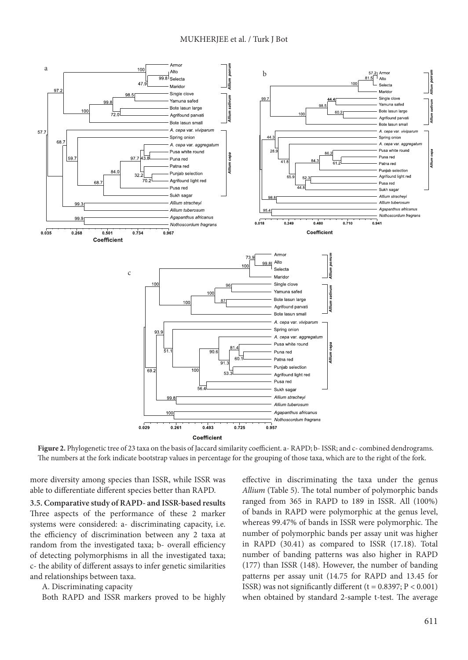

**Figure 2.** Phylogenetic tree of 23 taxa on the basis of Jaccard similarity coefficient. a- RAPD; b- ISSR; and c- combined dendrograms. The numbers at the fork indicate bootstrap values in percentage for the grouping of those taxa, which are to the right of the fork.

more diversity among species than ISSR, while ISSR was able to differentiate different species better than RAPD.

**3.5. Comparative study of RAPD- and ISSR-based results** Three aspects of the performance of these 2 marker systems were considered: a- discriminating capacity, i.e. the efficiency of discrimination between any 2 taxa at random from the investigated taxa; b- overall efficiency of detecting polymorphisms in all the investigated taxa; c- the ability of different assays to infer genetic similarities and relationships between taxa.

A. Discriminating capacity

Both RAPD and ISSR markers proved to be highly

effective in discriminating the taxa under the genus *Allium* (Table 5). The total number of polymorphic bands ranged from 365 in RAPD to 189 in ISSR. All (100%) of bands in RAPD were polymorphic at the genus level, whereas 99.47% of bands in ISSR were polymorphic. The number of polymorphic bands per assay unit was higher in RAPD (30.41) as compared to ISSR (17.18). Total number of banding patterns was also higher in RAPD (177) than ISSR (148). However, the number of banding patterns per assay unit (14.75 for RAPD and 13.45 for ISSR) was not significantly different ( $t = 0.8397$ ;  $P < 0.001$ ) when obtained by standard 2-sample t-test. The average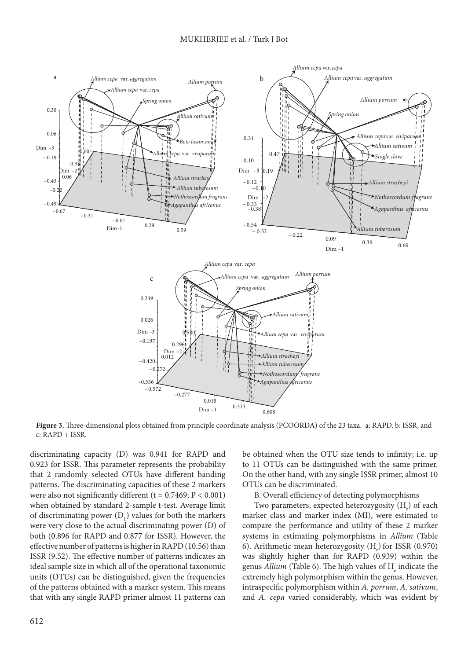

**Figure 3.** Three-dimensional plots obtained from principle coordinate analysis (PCOORDA) of the 23 taxa. a: RAPD, b: ISSR, and c: RAPD + ISSR.

discriminating capacity (D) was 0.941 for RAPD and 0.923 for ISSR. This parameter represents the probability that 2 randomly selected OTUs have different banding patterns. The discriminating capacities of these 2 markers were also not significantly different ( $t = 0.7469$ ;  $P < 0.001$ ) when obtained by standard 2-sample t-test. Average limit of discriminating power  $(D<sub>L</sub>)$  values for both the markers were very close to the actual discriminating power (D) of both (0.896 for RAPD and 0.877 for ISSR). However, the effective number of patterns is higher in RAPD (10.56) than ISSR (9.52). The effective number of patterns indicates an ideal sample size in which all of the operational taxonomic units (OTUs) can be distinguished, given the frequencies of the patterns obtained with a marker system. This means that with any single RAPD primer almost 11 patterns can

be obtained when the OTU size tends to infinity; i.e. up to 11 OTUs can be distinguished with the same primer. On the other hand, with any single ISSR primer, almost 10 OTUs can be discriminated.

B. Overall efficiency of detecting polymorphisms

Two parameters, expected heterozygosity  $\rm (H_e)$  of each marker class and marker index (MI), were estimated to compare the performance and utility of these 2 marker systems in estimating polymorphisms in *Allium* (Table 6). Arithmetic mean heterozygosity  $(H_e)$  for ISSR (0.970) was slightly higher than for RAPD (0.939) within the genus *Allium* (Table 6). The high values of H<sub>e</sub> indicate the extremely high polymorphism within the genus. However, intraspecific polymorphism within *A. porrum*, *A. sativum*, and *A. cepa* varied considerably, which was evident by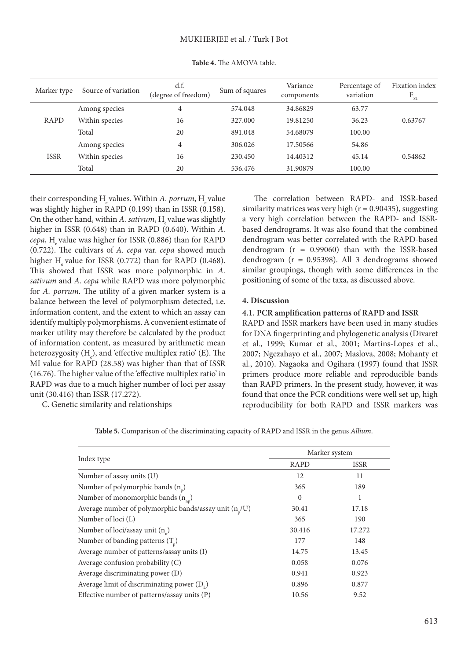| Marker type | Source of variation | d.f.<br>(degree of freedom) | Sum of squares | Variance<br>components | Percentage of<br>variation | Fixation index<br>$F_{ST}$ |
|-------------|---------------------|-----------------------------|----------------|------------------------|----------------------------|----------------------------|
|             | Among species       | 4                           | 574.048        | 34.86829               | 63.77                      |                            |
| RAPD        | Within species      | 16                          | 327,000        | 19.81250               | 36.23                      | 0.63767                    |
|             | Total               | 20                          | 891.048        | 54.68079               | 100.00                     |                            |
|             | Among species       | 4                           | 306.026        | 17.50566               | 54.86                      |                            |
| <b>ISSR</b> | Within species      | 16                          | 230.450        | 14.40312               | 45.14                      | 0.54862                    |
|             | Total               | 20                          | 536.476        | 31.90879               | 100.00                     |                            |

**Table 4.** The AMOVA table.

their corresponding H<sub>.</sub> values. Within *A. porrum*, H<sub>.</sub> value was slightly higher in RAPD (0.199) than in ISSR (0.158). On the other hand, within *A. sativum*, H value was slightly higher in ISSR (0.648) than in RAPD (0.640). Within *A. cepa*, H value was higher for ISSR (0.886) than for RAPD (0.722). The cultivars of *A. cepa* var. *cepa* showed much higher H value for ISSR  $(0.772)$  than for RAPD  $(0.468)$ . This showed that ISSR was more polymorphic in *A. sativum* and *A. cepa* while RAPD was more polymorphic for *A. porrum*. The utility of a given marker system is a balance between the level of polymorphism detected, i.e. information content, and the extent to which an assay can identify multiply polymorphisms. A convenient estimate of marker utility may therefore be calculated by the product of information content, as measured by arithmetic mean heterozygosity ( $H_e$ ), and 'effective multiplex ratio' (E). The MI value for RAPD (28.58) was higher than that of ISSR (16.76). The higher value of the 'effective multiplex ratio' in RAPD was due to a much higher number of loci per assay unit (30.416) than ISSR (17.272).

C. Genetic similarity and relationships

The correlation between RAPD- and ISSR-based similarity matrices was very high  $(r = 0.90435)$ , suggesting a very high correlation between the RAPD- and ISSRbased dendrograms. It was also found that the combined dendrogram was better correlated with the RAPD-based dendrogram (r = 0.99060) than with the ISSR-based dendrogram (r = 0.95398). All 3 dendrograms showed similar groupings, though with some differences in the positioning of some of the taxa, as discussed above.

### **4. Discussion**

## **4.1. PCR amplification patterns of RAPD and ISSR**

RAPD and ISSR markers have been used in many studies for DNA fingerprinting and phylogenetic analysis (Divaret et al*.*, 1999; Kumar et al*.*, 2001; Martins-Lopes et al*.*, 2007; Ngezahayo et al*.*, 2007; Maslova, 2008; Mohanty et al*.*, 2010). Nagaoka and Ogihara (1997) found that ISSR primers produce more reliable and reproducible bands than RAPD primers. In the present study, however, it was found that once the PCR conditions were well set up, high reproducibility for both RAPD and ISSR markers was

**Table 5.** Comparison of the discriminating capacity of RAPD and ISSR in the genus *Allium*.

|                                                            | Marker system |             |  |  |
|------------------------------------------------------------|---------------|-------------|--|--|
| Index type                                                 | <b>RAPD</b>   | <b>ISSR</b> |  |  |
| Number of assay units (U)                                  | 12            | 11          |  |  |
| Number of polymorphic bands $(n_p)$                        | 365           | 189         |  |  |
| Number of monomorphic bands $(n_{nn})$                     | $\Omega$      | 1           |  |  |
| Average number of polymorphic bands/assay unit $(n_{n}/U)$ | 30.41         | 17.18       |  |  |
| Number of loci (L)                                         | 365           | 190         |  |  |
| Number of loci/assay unit $(n_n)$                          | 30.416        | 17.272      |  |  |
| Number of banding patterns $(T_n)$                         | 177           | 148         |  |  |
| Average number of patterns/assay units (I)                 | 14.75         | 13.45       |  |  |
| Average confusion probability (C)                          | 0.058         | 0.076       |  |  |
| Average discriminating power (D)                           | 0.941         | 0.923       |  |  |
| Average limit of discriminating power $(D_1)$              | 0.896         | 0.877       |  |  |
| Effective number of patterns/assay units (P)               | 10.56         | 9.52        |  |  |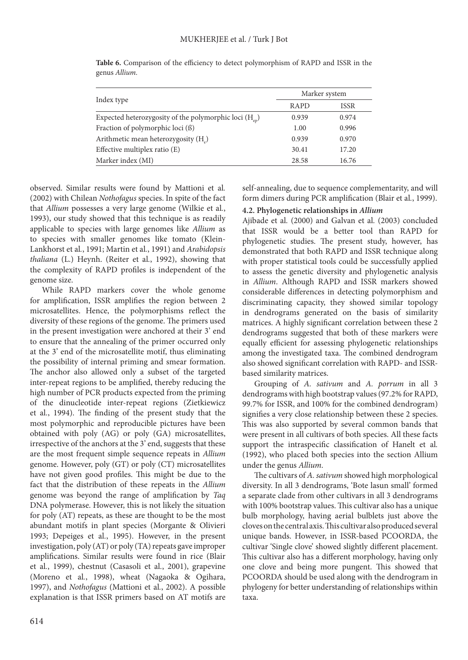|                                                                                  | Marker system |             |  |
|----------------------------------------------------------------------------------|---------------|-------------|--|
| Index type                                                                       | <b>RAPD</b>   | <b>ISSR</b> |  |
| Expected heterozygosity of the polymorphic loci $(H_{\scriptscriptstyle\rm en})$ | 0.939         | 0.974       |  |
| Fraction of polymorphic loci (ß)                                                 | 1.00          | 0.996       |  |
| Arithmetic mean heterozygosity $(H_0)$                                           | 0.939         | 0.970       |  |
| Effective multiplex ratio $(E)$                                                  | 30.41         | 17.20       |  |
| Marker index (MI)                                                                | 28.58         | 16.76       |  |

**Table 6.** Comparison of the efficiency to detect polymorphism of RAPD and ISSR in the genus *Allium*.

observed. Similar results were found by Mattioni et al*.* (2002) with Chilean *Nothofagus* species. In spite of the fact that *Allium* possesses a very large genome (Wilkie et al*.*, 1993), our study showed that this technique is as readily applicable to species with large genomes like *Allium* as to species with smaller genomes like tomato (Klein-Lankhorst et al*.*, 1991; Martin et al*.*, 1991) and *Arabidopsis thaliana* (L.) Heynh. (Reiter et al*.*, 1992), showing that the complexity of RAPD profiles is independent of the genome size.

While RAPD markers cover the whole genome for amplification, ISSR amplifies the region between 2 microsatellites. Hence, the polymorphisms reflect the diversity of these regions of the genome. The primers used in the present investigation were anchored at their 3' end to ensure that the annealing of the primer occurred only at the 3' end of the microsatellite motif, thus eliminating the possibility of internal priming and smear formation. The anchor also allowed only a subset of the targeted inter-repeat regions to be amplified, thereby reducing the high number of PCR products expected from the priming of the dinucleotide inter-repeat regions (Zietkiewicz et al*.*, 1994). The finding of the present study that the most polymorphic and reproducible pictures have been obtained with poly (AG) or poly (GA) microsatellites, irrespective of the anchors at the 3' end, suggests that these are the most frequent simple sequence repeats in *Allium*  genome. However, poly (GT) or poly (CT) microsatellites have not given good profiles. This might be due to the fact that the distribution of these repeats in the *Allium*  genome was beyond the range of amplification by *Taq* DNA polymerase. However, this is not likely the situation for poly (AT) repeats, as these are thought to be the most abundant motifs in plant species (Morgante & Olivieri 1993; Depeiges et al*.*, 1995). However, in the present investigation, poly (AT) or poly (TA) repeats gave improper amplifications. Similar results were found in rice (Blair et al*.*, 1999), chestnut (Casasoli et al*.*, 2001), grapevine (Moreno et al*.*, 1998), wheat (Nagaoka & Ogihara, 1997), and *Nothofagus* (Mattioni et al*.*, 2002). A possible explanation is that ISSR primers based on AT motifs are

self-annealing, due to sequence complementarity, and will form dimers during PCR amplification (Blair et al*.*, 1999).

# **4.2. Phylogenetic relationships in** *Allium*

Ajibade et al*.* (2000) and Galvan et al*.* (2003) concluded that ISSR would be a better tool than RAPD for phylogenetic studies. The present study, however, has demonstrated that both RAPD and ISSR technique along with proper statistical tools could be successfully applied to assess the genetic diversity and phylogenetic analysis in *Allium*. Although RAPD and ISSR markers showed considerable differences in detecting polymorphism and discriminating capacity, they showed similar topology in dendrograms generated on the basis of similarity matrices. A highly significant correlation between these 2 dendrograms suggested that both of these markers were equally efficient for assessing phylogenetic relationships among the investigated taxa. The combined dendrogram also showed significant correlation with RAPD- and ISSRbased similarity matrices.

Grouping of *A. sativum* and *A. porrum* in all 3 dendrograms with high bootstrap values (97.2% for RAPD, 99.7% for ISSR, and 100% for the combined dendrogram) signifies a very close relationship between these 2 species. This was also supported by several common bands that were present in all cultivars of both species. All these facts support the intraspecific classification of Hanelt et al*.* (1992), who placed both species into the section Allium under the genus *Allium*.

The cultivars of *A. sativum* showed high morphological diversity. In all 3 dendrograms, 'Bote lasun small' formed a separate clade from other cultivars in all 3 dendrograms with 100% bootstrap values. This cultivar also has a unique bulb morphology, having aerial bulblets just above the cloves on the central axis. This cultivar also produced several unique bands. However, in ISSR-based PCOORDA, the cultivar 'Single clove' showed slightly different placement. This cultivar also has a different morphology, having only one clove and being more pungent. This showed that PCOORDA should be used along with the dendrogram in phylogeny for better understanding of relationships within taxa.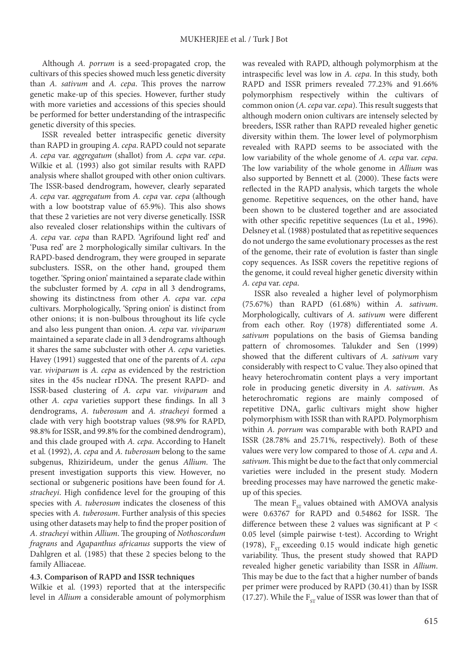Although *A. porrum* is a seed-propagated crop, the cultivars of this species showed much less genetic diversity than *A. sativum* and *A. cepa*. This proves the narrow genetic make-up of this species. However, further study with more varieties and accessions of this species should be performed for better understanding of the intraspecific genetic diversity of this species.

ISSR revealed better intraspecific genetic diversity than RAPD in grouping *A. cepa*. RAPD could not separate *A. cepa* var. *aggregatum* (shallot) from *A. cepa* var. *cepa*. Wilkie et al*.* (1993) also got similar results with RAPD analysis where shallot grouped with other onion cultivars. The ISSR-based dendrogram, however, clearly separated *A. cepa* var. *aggregatum* from *A. cepa* var. *cepa* (although with a low bootstrap value of 65.9%). This also shows that these 2 varieties are not very diverse genetically. ISSR also revealed closer relationships within the cultivars of *A. cepa* var. *cepa* than RAPD. 'Agrifound light red' and 'Pusa red' are 2 morphologically similar cultivars. In the RAPD-based dendrogram, they were grouped in separate subclusters. ISSR, on the other hand, grouped them together. 'Spring onion' maintained a separate clade within the subcluster formed by *A. cepa* in all 3 dendrograms, showing its distinctness from other *A. cepa* var. *cepa* cultivars. Morphologically, 'Spring onion' is distinct from other onions; it is non-bulbous throughout its life cycle and also less pungent than onion. *A. cepa* var. *viviparum* maintained a separate clade in all 3 dendrograms although it shares the same subcluster with other *A. cepa* varieties. Havey (1991) suggested that one of the parents of *A. cepa*  var. *viviparum* is *A. cepa* as evidenced by the restriction sites in the 45s nuclear rDNA. The present RAPD- and ISSR-based clustering of *A. cepa* var. *viviparum* and other *A. cepa* varieties support these findings. In all 3 dendrograms, *A. tuberosum* and *A. stracheyi* formed a clade with very high bootstrap values (98.9% for RAPD, 98.8% for ISSR, and 99.8% for the combined dendrogram), and this clade grouped with *A. cepa*. According to Hanelt et al*.* (1992), *A. cepa* and *A. tuberosum* belong to the same subgenus, Rhizirideum, under the genus *Allium*. The present investigation supports this view. However, no sectional or subgeneric positions have been found for *A. stracheyi*. High confidence level for the grouping of this species with *A. tuberosum* indicates the closeness of this species with *A. tuberosum*. Further analysis of this species using other datasets may help to find the proper position of *A. stracheyi* within *Allium*. The grouping of *Nothoscordum fragrans* and *Agapanthus africanus* supports the view of Dahlgren et al*.* (1985) that these 2 species belong to the family Alliaceae.

# **4.3. Comparison of RAPD and ISSR techniques**

Wilkie et al*.* (1993) reported that at the interspecific level in *Allium* a considerable amount of polymorphism

was revealed with RAPD, although polymorphism at the intraspecific level was low in *A. cepa*. In this study, both RAPD and ISSR primers revealed 77.23% and 91.66% polymorphism respectively within the cultivars of common onion (*A. cepa* var. *cepa*). This result suggests that although modern onion cultivars are intensely selected by breeders, ISSR rather than RAPD revealed higher genetic diversity within them. The lower level of polymorphism revealed with RAPD seems to be associated with the low variability of the whole genome of *A. cepa* var. *cepa*. The low variability of the whole genome in *Allium* was also supported by Bennett et al*.* (2000). These facts were reflected in the RAPD analysis, which targets the whole genome. Repetitive sequences, on the other hand, have been shown to be clustered together and are associated with other specific repetitive sequences (Lu et al*.*, 1996). Delsney et al*.* (1988) postulated that as repetitive sequences do not undergo the same evolutionary processes as the rest of the genome, their rate of evolution is faster than single copy sequences. As ISSR covers the repetitive regions of the genome, it could reveal higher genetic diversity within *A. cepa* var. *cepa*.

ISSR also revealed a higher level of polymorphism (75.67%) than RAPD (61.68%) within *A. sativum*. Morphologically, cultivars of *A. sativum* were different from each other. Roy (1978) differentiated some *A. sativum* populations on the basis of Giemsa banding pattern of chromosomes. Talukder and Sen (1999) showed that the different cultivars of *A. sativum* vary considerably with respect to C value. They also opined that heavy heterochromatin content plays a very important role in producing genetic diversity in *A. sativum*. As heterochromatic regions are mainly composed of repetitive DNA, garlic cultivars might show higher polymorphism with ISSR than with RAPD. Polymorphism within *A. porrum* was comparable with both RAPD and ISSR (28.78% and 25.71%, respectively). Both of these values were very low compared to those of *A. cepa* and *A. sativum*. This might be due to the fact that only commercial varieties were included in the present study. Modern breeding processes may have narrowed the genetic makeup of this species.

The mean  $F_{ST}$  values obtained with AMOVA analysis were 0.63767 for RAPD and 0.54862 for ISSR. The difference between these 2 values was significant at P < 0.05 level (simple pairwise t-test). According to Wright (1978),  $F_{ST}$  exceeding 0.15 would indicate high genetic variability. Thus, the present study showed that RAPD revealed higher genetic variability than ISSR in *Allium*. This may be due to the fact that a higher number of bands per primer were produced by RAPD (30.41) than by ISSR (17.27). While the  $F_{cr}$  value of ISSR was lower than that of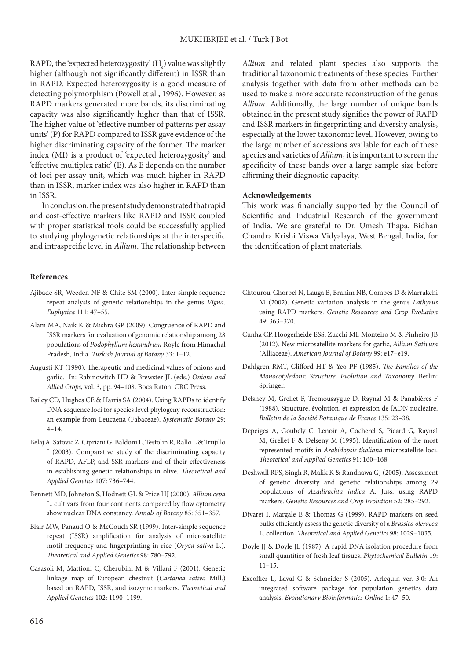RAPD, the 'expected heterozygosity'  $(H_e)$  value was slightly higher (although not significantly different) in ISSR than in RAPD. Expected heterozygosity is a good measure of detecting polymorphism (Powell et al*.*, 1996). However, as RAPD markers generated more bands, its discriminating capacity was also significantly higher than that of ISSR. The higher value of 'effective number of patterns per assay units' (P) for RAPD compared to ISSR gave evidence of the higher discriminating capacity of the former. The marker index (MI) is a product of 'expected heterozygosity' and 'effective multiplex ratio' (E). As E depends on the number of loci per assay unit, which was much higher in RAPD than in ISSR, marker index was also higher in RAPD than in ISSR.

In conclusion, the present study demonstrated that rapid and cost-effective markers like RAPD and ISSR coupled with proper statistical tools could be successfully applied to studying phylogenetic relationships at the interspecific and intraspecific level in *Allium*. The relationship between

#### **References**

- Ajibade SR, Weeden NF & Chite SM (2000). Inter-simple sequence repeat analysis of genetic relationships in the genus *Vigna*. *Euphytica* 111: 47–55.
- Alam MA, Naik K & Mishra GP (2009). Congruence of RAPD and ISSR markers for evaluation of genomic relationship among 28 populations of *Podophyllum hexandrum* Royle from Himachal Pradesh, India. *Turkish Journal of Botany* 33: 1–12.
- Augusti KT (1990). Therapeutic and medicinal values of onions and garlic. In: Rabinowitch HD & Brewster JL (eds.) *Onions and Allied Crops,* vol. 3, pp. 94–108. Boca Raton: CRC Press.
- Bailey CD, Hughes CE & Harris SA (2004). Using RAPDs to identify DNA sequence loci for species level phylogeny reconstruction: an example from Leucaena (Fabaceae). *Systematic Botany* 29:  $4 - 14.$
- Belaj A, Satovic Z, Cipriani G, Baldoni L, Testolin R, Rallo L & Trujillo I (2003). Comparative study of the discriminating capacity of RAPD, AFLP, and SSR markers and of their effectiveness in establishing genetic relationships in olive. *Theoretical and Applied Genetics* 107: 736–744.
- Bennett MD, Johnston S, Hodnett GL & Price HJ (2000). *Allium cepa* L. cultivars from four continents compared by flow cytometry show nuclear DNA constancy. *Annals of Botany* 85: 351–357.
- Blair MW, Panaud O & McCouch SR (1999). Inter-simple sequence repeat (ISSR) amplification for analysis of microsatellite motif frequency and fingerprinting in rice (*Oryza sativa* L.). *Theoretical and Applied Genetics* 98: 780–792.
- Casasoli M, Mattioni C, Cherubini M & Villani F (2001). Genetic linkage map of European chestnut (*Castanea sativa* Mill.) based on RAPD, ISSR, and isozyme markers. *Theoretical and Applied Genetics* 102: 1190–1199.

*Allium* and related plant species also supports the traditional taxonomic treatments of these species. Further analysis together with data from other methods can be used to make a more accurate reconstruction of the genus *Allium*. Additionally, the large number of unique bands obtained in the present study signifies the power of RAPD and ISSR markers in fingerprinting and diversity analysis, especially at the lower taxonomic level. However, owing to the large number of accessions available for each of these species and varieties of *Allium*, it is important to screen the specificity of these bands over a large sample size before affirming their diagnostic capacity.

#### **Acknowledgements**

This work was financially supported by the Council of Scientific and Industrial Research of the government of India. We are grateful to Dr. Umesh Thapa, Bidhan Chandra Krishi Viswa Vidyalaya, West Bengal, India, for the identification of plant materials.

- Chtourou-Ghorbel N, Lauga B, Brahim NB, Combes D & Marrakchi M (2002). Genetic variation analysis in the genus *Lathyrus* using RAPD markers. *Genetic Resources and Crop Evolution* 49: 363–370.
- Cunha CP, Hoogerheide ESS, Zucchi MI, Monteiro M & Pinheiro JB (2012). New microsatellite markers for garlic, *Allium Sativum* (Alliaceae). *American Journal of Botany* 99: e17–e19.
- Dahlgren RMT, Clifford HT & Yeo PF (1985). *The Families of the Monocotyledons: Structure, Evolution and Taxonomy.* Berlin: Springer.
- Delsney M, Grellet F, Tremousaygue D, Raynal M & Panabières F (1988). Structure, évolution, et expression de l'ADN nucléaire. *Bulletin de la Société Botanique de France* 135: 23–38.
- Depeiges A, Goubely C, Lenoir A, Cocherel S, Picard G, Raynal M, Grellet F & Delseny M (1995). Identification of the most represented motifs in *Arabidopsis thaliana* microsatellite loci. *Theoretical and Applied Genetics* 91: 160–168.
- Deshwall RPS, Singh R, Malik K & Randhawa GJ (2005). Assessment of genetic diversity and genetic relationships among 29 populations of *Azadirachta indica* A. Juss. using RAPD markers. *Genetic Resources and Crop Evolution* 52: 285–292.
- Divaret I, Margale E & Thomas G (1999). RAPD markers on seed bulks efficiently assess the genetic diversity of a *Brassica oleracea* L. collection. *Theoretical and Applied Genetics* 98: 1029–1035.
- Doyle JJ & Doyle JL (1987). A rapid DNA isolation procedure from small quantities of fresh leaf tissues. *Phytochemical Bulletin* 19:  $11 - 15$ .
- Excoffier L, Laval G & Schneider S (2005). Arlequin ver. 3.0: An integrated software package for population genetics data analysis. *Evolutionary Bioinformatics Online* 1: 47–50.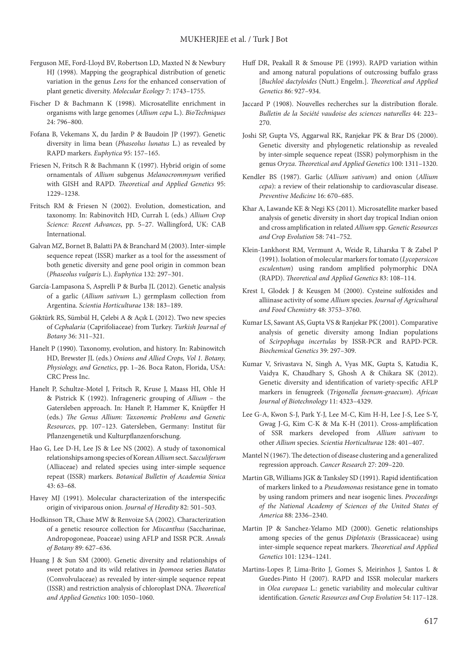- Ferguson ME, Ford-Lloyd BV, Robertson LD, Maxted N & Newbury HJ (1998). Mapping the geographical distribution of genetic variation in the genus *Lens* for the enhanced conservation of plant genetic diversity. *Molecular Ecology* 7: 1743–1755.
- Fischer D & Bachmann K (1998). Microsatellite enrichment in organisms with large genomes (*Allium cepa* L.). *BioTechniques* 24: 796–800.
- Fofana B, Vekemans X, du Jardin P & Baudoin JP (1997). Genetic diversity in lima bean (*Phaseolus lunatus* L.) as revealed by RAPD markers. *Euphytica* 95: 157–165.
- Friesen N, Fritsch R & Bachmann K (1997). Hybrid origin of some ornamentals of *Allium* subgenus *Melanocrommyum* verified with GISH and RAPD. *Theoretical and Applied Genetics* 95: 1229–1238.
- Fritsch RM & Friesen N (2002). Evolution, domestication, and taxonomy. In: Rabinovitch HD, Currah L (eds.) *Allium Crop Science: Recent Advances*, pp. 5–27. Wallingford, UK: CAB International.
- Galvan MZ, Bornet B, Balatti PA & Branchard M (2003). Inter-simple sequence repeat (ISSR) marker as a tool for the assessment of both genetic diversity and gene pool origin in common bean (*Phaseolus vulgaris* L.). *Euphytica* 132: 297–301.
- García-Lampasona S, Asprelli P & Burba JL (2012). Genetic analysis of a garlic (*Allium sativum* L.) germplasm collection from Argentina. *Scientia Horticulturae* 138: 183–189.
- Göktürk RS, Sümbül H, Çelebi A & Açık L (2012). Two new species of *Cephalaria* (Caprifoliaceae) from Turkey. *Turkish Journal of Botany* 36: 311–321.
- Hanelt P (1990). Taxonomy, evolution, and history. In: Rabinowitch HD, Brewster JL (eds.) *Onions and Allied Crops, Vol 1. Botany, Physiology, and Genetics*, pp. 1–26. Boca Raton, Florida, USA: CRC Press Inc.
- Hanelt P, Schultze-Motel J, Fritsch R, Kruse J, Maass HI, Ohle H & Pistrick K (1992). Infrageneric grouping of *Allium* – the Gatersleben approach. In: Hanelt P, Hammer K, Knüpffer H (eds.) *The Genus Allium: Taxonomic Problems and Genetic Resources*, pp. 107–123. Gatersleben, Germany: Institut für Pflanzengenetik und Kulturpflanzenforschung.
- Hao G, Lee D-H, Lee JS & Lee NS (2002). A study of taxonomical relationships among species of Korean *Allium* sect. *Sacculiferum* (Alliaceae) and related species using inter-simple sequence repeat (ISSR) markers. *Botanical Bulletin of Academia Sinica* 43: 63–68.
- Havey MJ (1991). Molecular characterization of the interspecific origin of viviparous onion. *Journal of Heredity* 82: 501–503.
- Hodkinson TR, Chase MW & Renvoize SA (2002). Characterization of a genetic resource collection for *Miscanthus* (Saccharinae, Andropogoneae, Poaceae) using AFLP and ISSR PCR. *Annals of Botany* 89: 627–636.
- Huang J & Sun SM (2000). Genetic diversity and relationships of sweet potato and its wild relatives in *Ipomoea* series *Batatas* (Convolvulaceae) as revealed by inter-simple sequence repeat (ISSR) and restriction analysis of chloroplast DNA. *Theoretical and Applied Genetics* 100: 1050–1060.
- Huff DR, Peakall R & Smouse PE (1993). RAPD variation within and among natural populations of outcrossing buffalo grass [*Buchloë dactyloides* (Nutt.) Engelm.]. *Theoretical and Applied Genetics* 86: 927–934.
- Jaccard P (1908). Nouvelles recherches sur la distribution florale. *Bulletin de la Société vaudoise des sciences naturelles* 44: 223– 270.
- Joshi SP, Gupta VS, Aggarwal RK, Ranjekar PK & Brar DS (2000). Genetic diversity and phylogenetic relationship as revealed by inter-simple sequence repeat (ISSR) polymorphism in the genus *Oryza*. *Theoretical and Applied Genetics* 100: 1311–1320.
- Kendler BS (1987). Garlic (*Allium sativum*) and onion (*Allium cepa*): a review of their relationship to cardiovascular disease. *Preventive Medicine* 16: 670–685.
- Khar A, Lawande KE & Negi KS (2011). Microsatellite marker based analysis of genetic diversity in short day tropical Indian onion and cross amplification in related *Allium* spp. *Genetic Resources and Crop Evolution* 58: 741–752.
- Klein-Lankhorst RM, Vermunt A, Weide R, Liharska T & Zabel P (1991). Isolation of molecular markers for tomato (*Lycopersicon esculentum*) using random amplified polymorphic DNA (RAPD). *Theoretical and Applied Genetics* 83: 108–114.
- Krest I, Glodek J & Keusgen M (2000). Cysteine sulfoxides and alliinase activity of some *Allium* species. *Journal of Agricultural and Food Chemistry* 48: 3753–3760.
- Kumar LS, Sawant AS, Gupta VS & Ranjekar PK (2001). Comparative analysis of genetic diversity among Indian populations of *Scirpophaga incertulas* by ISSR-PCR and RAPD-PCR. *Biochemical Genetics* 39: 297–309.
- Kumar V, Srivastava N, Singh A, Vyas MK, Gupta S, Katudia K, Vaidya K, Chaudhary S, Ghosh A & Chikara SK (2012). Genetic diversity and identification of variety-specific AFLP markers in fenugreek (*Trigonella foenum-graecum*). *African Journal of Biotechnology* 11: 4323–4329.
- Lee G-A, Kwon S-J, Park Y-J, Lee M-C, Kim H-H, Lee J-S, Lee S-Y, Gwag J-G, Kim C-K & Ma K-H (2011). Cross-amplification of SSR markers developed from *Allium sativum* to other *Allium* species. *Scientia Horticulturae* 128: 401–407.
- Mantel N (1967). The detection of disease clustering and a generalized regression approach. *Cancer Research* 27: 209–220.
- Martin GB, Williams JGK & Tanksley SD (1991). Rapid identification of markers linked to a *Pseudomonas* resistance gene in tomato by using random primers and near isogenic lines. *Proceedings of the National Academy of Sciences of the United States of America* 88: 2336–2340.
- Martin JP & Sanchez-Yelamo MD (2000). Genetic relationships among species of the genus *Diplotaxis* (Brassicaceae) using inter-simple sequence repeat markers. *Theoretical and Applied Genetics* 101: 1234–1241.
- Martins-Lopes P, Lima-Brito J, Gomes S, Meirinhos J, Santos L & Guedes-Pinto H (2007). RAPD and ISSR molecular markers in *Olea europaea* L.: genetic variability and molecular cultivar identification. *Genetic Resources and Crop Evolution* 54: 117–128.